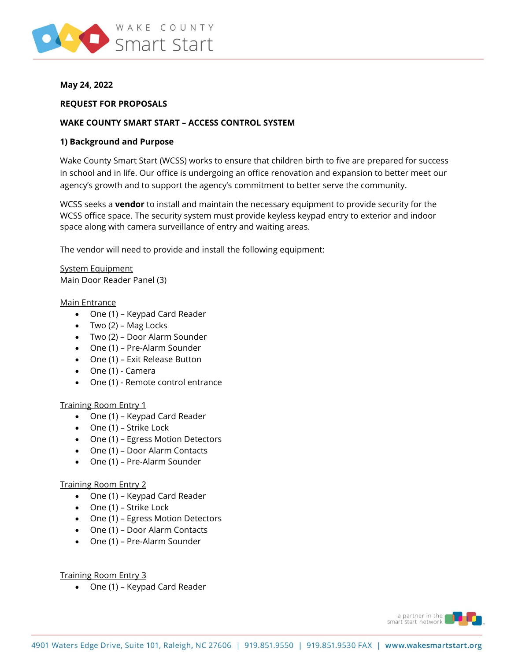

### **May 24, 2022**

#### **REQUEST FOR PROPOSALS**

### **WAKE COUNTY SMART START – ACCESS CONTROL SYSTEM**

#### **1) Background and Purpose**

Wake County Smart Start (WCSS) works to ensure that children birth to five are prepared for success in school and in life. Our office is undergoing an office renovation and expansion to better meet our agency's growth and to support the agency's commitment to better serve the community.

WCSS seeks a **vendor** to install and maintain the necessary equipment to provide security for the WCSS office space. The security system must provide keyless keypad entry to exterior and indoor space along with camera surveillance of entry and waiting areas.

The vendor will need to provide and install the following equipment:

System Equipment Main Door Reader Panel (3)

#### Main Entrance

- One (1) Keypad Card Reader
- Two (2) Mag Locks
- Two (2) Door Alarm Sounder
- One (1) Pre-Alarm Sounder
- One (1) Exit Release Button
- One (1) Camera
- One (1) Remote control entrance

#### Training Room Entry 1

- One (1) Keypad Card Reader
- One (1) Strike Lock
- One (1) Egress Motion Detectors
- One (1) Door Alarm Contacts
- One (1) Pre-Alarm Sounder

#### Training Room Entry 2

- One (1) Keypad Card Reader
- One (1) Strike Lock
- One (1) Egress Motion Detectors
- One (1) Door Alarm Contacts
- One (1) Pre-Alarm Sounder

Training Room Entry 3

• One (1) – Keypad Card Reader

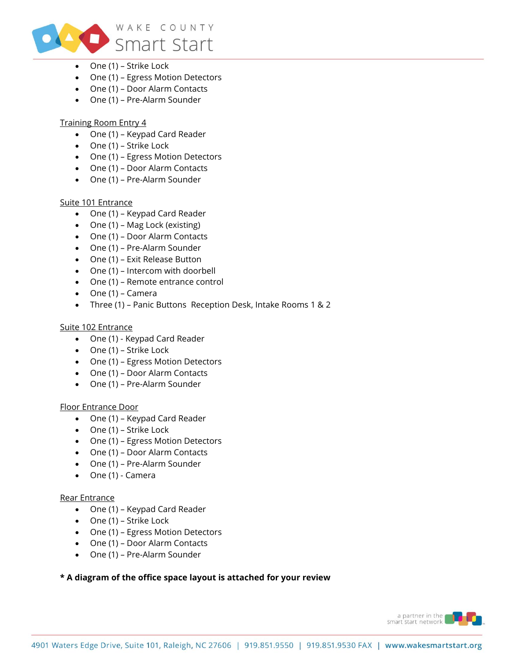

- One (1) Strike Lock
- One (1) Egress Motion Detectors
- One (1) Door Alarm Contacts
- One (1) Pre-Alarm Sounder

# Training Room Entry 4

- One (1) Keypad Card Reader
- One (1) Strike Lock
- One (1) Egress Motion Detectors
- One (1) Door Alarm Contacts
- One (1) Pre-Alarm Sounder

# Suite 101 Entrance

- One (1) Keypad Card Reader
- One (1) Mag Lock (existing)
- One (1) Door Alarm Contacts
- One (1) Pre-Alarm Sounder
- One (1) Exit Release Button
- One (1) Intercom with doorbell
- One (1) Remote entrance control
- One (1) Camera
- Three (1) Panic Buttons Reception Desk, Intake Rooms 1 & 2

### Suite 102 Entrance

- One (1) Keypad Card Reader
- One (1) Strike Lock
- One (1) Egress Motion Detectors
- One (1) Door Alarm Contacts
- One (1) Pre-Alarm Sounder

# Floor Entrance Door

- One (1) Keypad Card Reader
- One (1) Strike Lock
- One (1) Egress Motion Detectors
- One (1) Door Alarm Contacts
- One (1) Pre-Alarm Sounder
- One (1) Camera

# Rear Entrance

- One (1) Keypad Card Reader
- One (1) Strike Lock
- One (1) Egress Motion Detectors
- One (1) Door Alarm Contacts
- One (1) Pre-Alarm Sounder

# **\* A diagram of the office space layout is attached for your review**